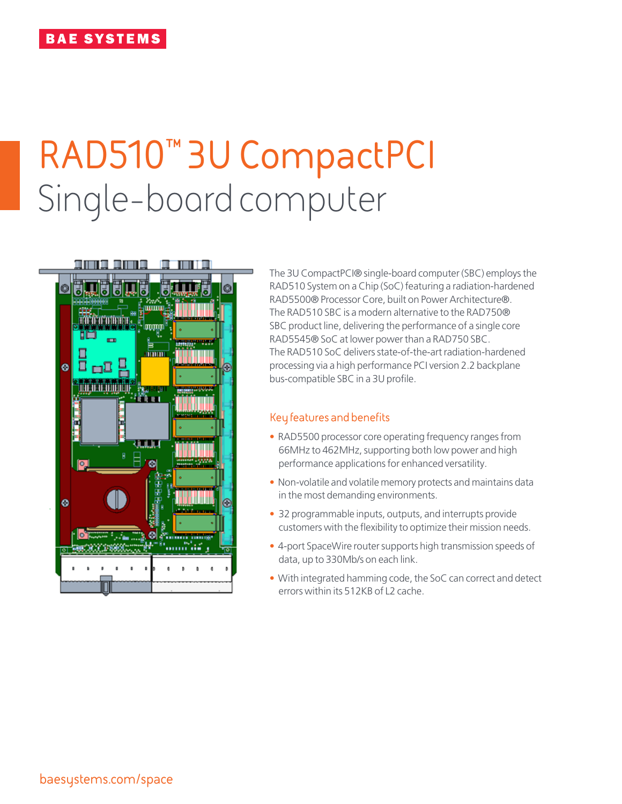# **RAD510™ 3U CompactPCI** Single-board computer



The 3U CompactPCI® single-board computer (SBC) employs the RAD510 System on a Chip (SoC) featuring a radiation-hardened RAD5500® Processor Core, built on Power Architecture®. The RAD510 SBC is a modern alternative to the RAD750® SBC product line, delivering the performance of a single core RAD5545® SoC at lower power than a RAD750 SBC. The RAD510 SoC delivers state-of-the-art radiation-hardened processing via a high performance PCI version 2.2 backplane bus-compatible SBC in a 3U profile.

#### **Key features and benefits**

- RAD5500 processor core operating frequency ranges from 66MHz to 462MHz, supporting both low power and high performance applications for enhanced versatility.
- Non-volatile and volatile memory protects and maintains data in the most demanding environments.
- 32 programmable inputs, outputs, and interrupts provide customers with the flexibility to optimize their mission needs.
- 4-port SpaceWire router supports high transmission speeds of data, up to 330Mb/s on each link.
- With integrated hamming code, the SoC can correct and detect errors within its 512KB of L2 cache.